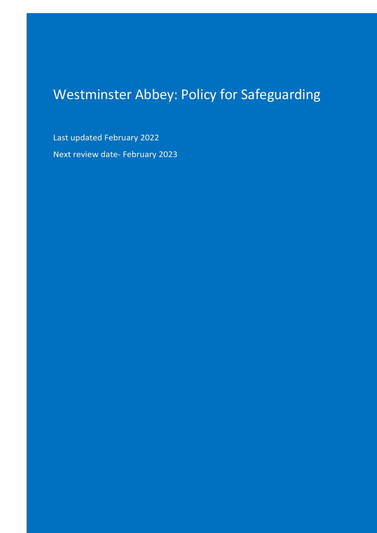# Westminster Abbey: Policy for Safeguarding

Last updated February 2022 Next review date- February 2023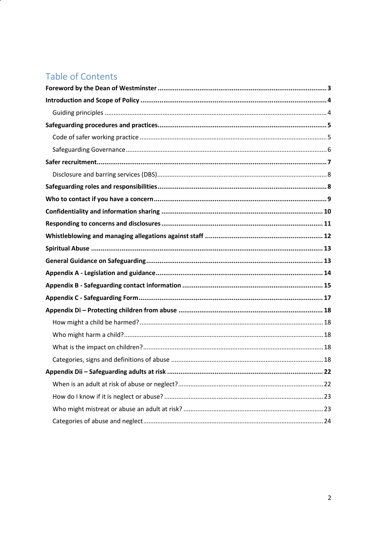# Table of Contents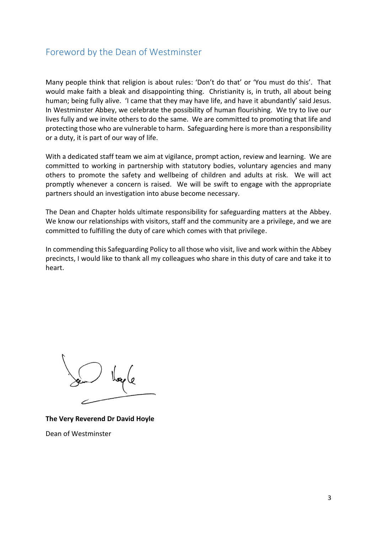# <span id="page-2-0"></span>Foreword by the Dean of Westminster

Many people think that religion is about rules: 'Don't do that' or 'You must do this'. That would make faith a bleak and disappointing thing. Christianity is, in truth, all about being human; being fully alive. 'I came that they may have life, and have it abundantly' said Jesus. In Westminster Abbey, we celebrate the possibility of human flourishing. We try to live our lives fully and we invite others to do the same. We are committed to promoting that life and protecting those who are vulnerable to harm. Safeguarding here is more than a responsibility or a duty, it is part of our way of life.

With a dedicated staff team we aim at vigilance, prompt action, review and learning. We are committed to working in partnership with statutory bodies, voluntary agencies and many others to promote the safety and wellbeing of children and adults at risk. We will act promptly whenever a concern is raised. We will be swift to engage with the appropriate partners should an investigation into abuse become necessary.

The Dean and Chapter holds ultimate responsibility for safeguarding matters at the Abbey. We know our relationships with visitors, staff and the community are a privilege, and we are committed to fulfilling the duty of care which comes with that privilege.

In commending this Safeguarding Policy to all those who visit, live and work within the Abbey precincts, I would like to thank all my colleagues who share in this duty of care and take it to heart.

**The Very Reverend Dr David Hoyle** Dean of Westminster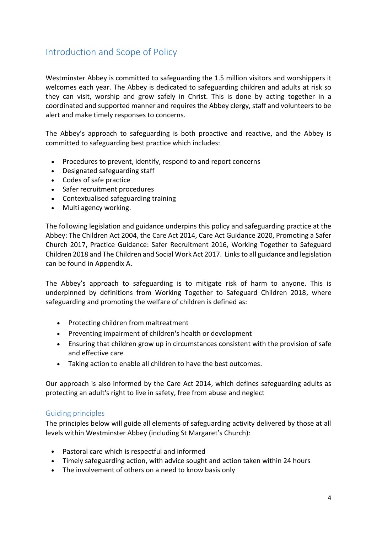# <span id="page-3-0"></span>Introduction and Scope of Policy

Westminster Abbey is committed to safeguarding the 1.5 million visitors and worshippers it welcomes each year. The Abbey is dedicated to safeguarding children and adults at risk so they can visit, worship and grow safely in Christ. This is done by acting together in a coordinated and supported manner and requires the Abbey clergy, staff and volunteers to be alert and make timely responses to concerns.

The Abbey's approach to safeguarding is both proactive and reactive, and the Abbey is committed to safeguarding best practice which includes:

- Procedures to prevent, identify, respond to and report concerns
- Designated safeguarding staff
- Codes of safe practice
- Safer recruitment procedures
- Contextualised safeguarding training
- Multi agency working.

The following legislation and guidance underpins this policy and safeguarding practice at the Abbey: The Children Act 2004, the Care Act 2014, Care Act Guidance 2020, Promoting a Safer Church 2017, Practice Guidance: Safer Recruitment 2016, Working Together to Safeguard Children 2018 and The Children and Social Work Act 2017. Links to all guidance and legislation can be found in Appendix A.

The Abbey's approach to safeguarding is to mitigate risk of harm to anyone. This is underpinned by definitions from Working Together to Safeguard Children 2018, where safeguarding and promoting the welfare of children is defined as:

- Protecting children from maltreatment
- Preventing impairment of children's health or development
- Ensuring that children grow up in circumstances consistent with the provision of safe and effective care
- Taking action to enable all children to have the best outcomes.

Our approach is also informed by the Care Act 2014, which defines safeguarding adults as protecting an adult's right to live in safety, free from abuse and neglect

# <span id="page-3-1"></span>Guiding principles

The principles below will guide all elements of safeguarding activity delivered by those at all levels within Westminster Abbey (including St Margaret's Church):

- Pastoral care which is respectful and informed
- Timely safeguarding action, with advice sought and action taken within 24 hours
- The involvement of others on a need to know basis only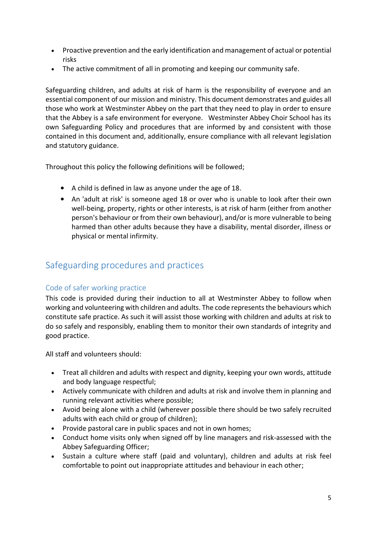- Proactive prevention and the early identification and management of actual or potential risks
- The active commitment of all in promoting and keeping our community safe.

Safeguarding children, and adults at risk of harm is the responsibility of everyone and an essential component of our mission and ministry. This document demonstrates and guides all those who work at Westminster Abbey on the part that they need to play in order to ensure that the Abbey is a safe environment for everyone. Westminster Abbey Choir School has its own Safeguarding Policy and procedures that are informed by and consistent with those contained in this document and, additionally, ensure compliance with all relevant legislation and statutory guidance.

Throughout this policy the following definitions will be followed;

- A child is defined in law as anyone under the age of 18.
- An 'adult at risk' is someone aged 18 or over who is unable to look after their own well-being, property, rights or other interests, is at risk of harm (either from another person's behaviour or from their own behaviour), and/or is more vulnerable to being harmed than other adults because they have a disability, mental disorder, illness or physical or mental infirmity.

# <span id="page-4-0"></span>Safeguarding procedures and practices

# <span id="page-4-1"></span>Code of safer working practice

This code is provided during their induction to all at Westminster Abbey to follow when working and volunteering with children and adults. The code represents the behaviours which constitute safe practice. As such it will assist those working with children and adults at risk to do so safely and responsibly, enabling them to monitor their own standards of integrity and good practice.

All staff and volunteers should:

- Treat all children and adults with respect and dignity, keeping your own words, attitude and body language respectful;
- Actively communicate with children and adults at risk and involve them in planning and running relevant activities where possible;
- Avoid being alone with a child (wherever possible there should be two safely recruited adults with each child or group of children);
- Provide pastoral care in public spaces and not in own homes;
- Conduct home visits only when signed off by line managers and risk-assessed with the Abbey Safeguarding Officer;
- Sustain a culture where staff (paid and voluntary), children and adults at risk feel comfortable to point out inappropriate attitudes and behaviour in each other;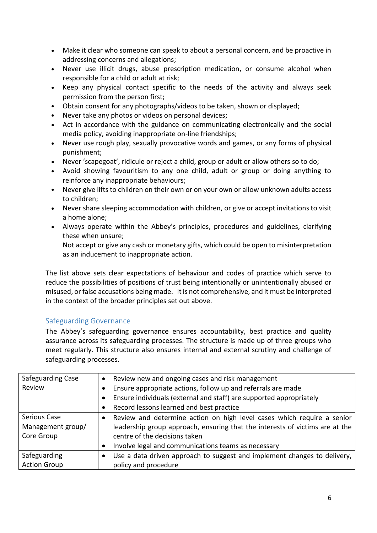- Make it clear who someone can speak to about a personal concern, and be proactive in addressing concerns and allegations;
- Never use illicit drugs, abuse prescription medication, or consume alcohol when responsible for a child or adult at risk;
- Keep any physical contact specific to the needs of the activity and always seek permission from the person first;
- Obtain consent for any photographs/videos to be taken, shown or displayed;
- Never take any photos or videos on personal devices;
- Act in accordance with the guidance on communicating electronically and the social media policy, avoiding inappropriate on-line friendships;
- Never use rough play, sexually provocative words and games, or any forms of physical punishment;
- Never 'scapegoat', ridicule or reject a child, group or adult or allow others so to do;
- Avoid showing favouritism to any one child, adult or group or doing anything to reinforce any inappropriate behaviours;
- Never give lifts to children on their own or on your own or allow unknown adults access to children;
- Never share sleeping accommodation with children, or give or accept invitations to visit a home alone;
- Always operate within the Abbey's principles, procedures and guidelines, clarifying these when unsure;

Not accept or give any cash or monetary gifts, which could be open to misinterpretation as an inducement to inappropriate action.

The list above sets clear expectations of behaviour and codes of practice which serve to reduce the possibilities of positions of trust being intentionally or unintentionally abused or misused, or false accusations being made. It is not comprehensive, and it must be interpreted in the context of the broader principles set out above.

# <span id="page-5-0"></span>Safeguarding Governance

The Abbey's safeguarding governance ensures accountability, best practice and quality assurance across its safeguarding processes. The structure is made up of three groups who meet regularly. This structure also ensures internal and external scrutiny and challenge of safeguarding processes.

| Safeguarding Case   | Review new and ongoing cases and risk management<br>$\bullet$                |
|---------------------|------------------------------------------------------------------------------|
| Review              | Ensure appropriate actions, follow up and referrals are made                 |
|                     | Ensure individuals (external and staff) are supported appropriately          |
|                     | Record lessons learned and best practice                                     |
| Serious Case        | Review and determine action on high level cases which require a senior       |
| Management group/   | leadership group approach, ensuring that the interests of victims are at the |
| Core Group          | centre of the decisions taken                                                |
|                     | Involve legal and communications teams as necessary                          |
| Safeguarding        | Use a data driven approach to suggest and implement changes to delivery,     |
| <b>Action Group</b> | policy and procedure                                                         |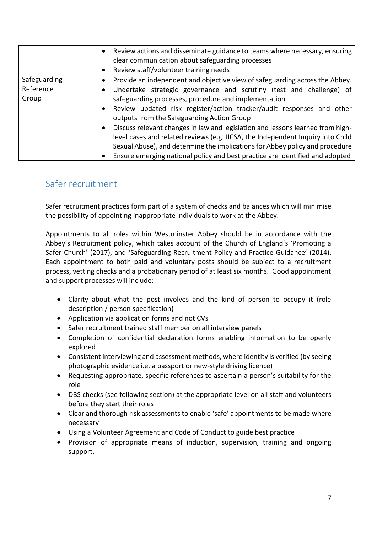|              | Review actions and disseminate guidance to teams where necessary, ensuring      |
|--------------|---------------------------------------------------------------------------------|
|              | clear communication about safeguarding processes                                |
|              | Review staff/volunteer training needs                                           |
| Safeguarding | Provide an independent and objective view of safeguarding across the Abbey.     |
| Reference    | Undertake strategic governance and scrutiny (test and challenge) of             |
| Group        | safeguarding processes, procedure and implementation                            |
|              | Review updated risk register/action tracker/audit responses and other           |
|              | outputs from the Safeguarding Action Group                                      |
|              | Discuss relevant changes in law and legislation and lessons learned from high-  |
|              | level cases and related reviews (e.g. IICSA, the Independent Inquiry into Child |
|              | Sexual Abuse), and determine the implications for Abbey policy and procedure    |
|              | Ensure emerging national policy and best practice are identified and adopted    |

# <span id="page-6-0"></span>Safer recruitment

Safer recruitment practices form part of a system of checks and balances which will minimise the possibility of appointing inappropriate individuals to work at the Abbey.

Appointments to all roles within Westminster Abbey should be in accordance with the Abbey's Recruitment policy, which takes account of the Church of England's 'Promoting a Safer Church' (2017), and 'Safeguarding Recruitment Policy and Practice Guidance' (2014). Each appointment to both paid and voluntary posts should be subject to a recruitment process, vetting checks and a probationary period of at least six months. Good appointment and support processes will include:

- Clarity about what the post involves and the kind of person to occupy it (role description / person specification)
- Application via application forms and not CVs
- Safer recruitment trained staff member on all interview panels
- Completion of confidential declaration forms enabling information to be openly explored
- Consistent interviewing and assessment methods, where identity is verified (by seeing photographic evidence i.e. a passport or new-style driving licence)
- Requesting appropriate, specific references to ascertain a person's suitability for the role
- DBS checks (see following section) at the appropriate level on all staff and volunteers before they start their roles
- Clear and thorough risk assessments to enable 'safe' appointments to be made where necessary
- Using a Volunteer Agreement and Code of Conduct to guide best practice
- Provision of appropriate means of induction, supervision, training and ongoing support.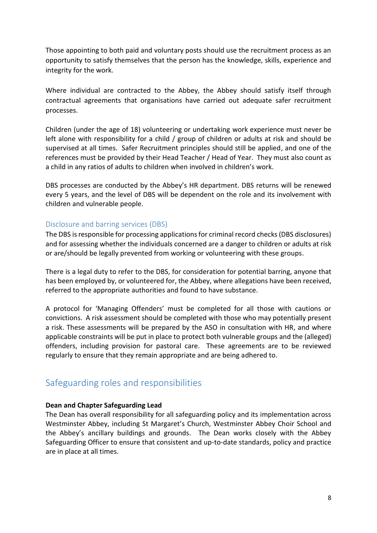Those appointing to both paid and voluntary posts should use the recruitment process as an opportunity to satisfy themselves that the person has the knowledge, skills, experience and integrity for the work.

Where individual are contracted to the Abbey, the Abbey should satisfy itself through contractual agreements that organisations have carried out adequate safer recruitment processes.

Children (under the age of 18) volunteering or undertaking work experience must never be left alone with responsibility for a child / group of children or adults at risk and should be supervised at all times. Safer Recruitment principles should still be applied, and one of the references must be provided by their Head Teacher / Head of Year. They must also count as a child in any ratios of adults to children when involved in children's work.

DBS processes are conducted by the Abbey's HR department. DBS returns will be renewed every 5 years, and the level of DBS will be dependent on the role and its involvement with children and vulnerable people.

# <span id="page-7-0"></span>Disclosure and barring services (DBS)

The DBS is responsible for processing applications for criminal record checks (DBS disclosures) and for assessing whether the individuals concerned are a danger to children or adults at risk or are/should be legally prevented from working or volunteering with these groups.

There is a legal duty to refer to the DBS, for consideration for potential barring, anyone that has been employed by, or volunteered for, the Abbey, where allegations have been received, referred to the appropriate authorities and found to have substance.

A protocol for 'Managing Offenders' must be completed for all those with cautions or convictions. A risk assessment should be completed with those who may potentially present a risk. These assessments will be prepared by the ASO in consultation with HR, and where applicable constraints will be put in place to protect both vulnerable groups and the (alleged) offenders, including provision for pastoral care. These agreements are to be reviewed regularly to ensure that they remain appropriate and are being adhered to.

# <span id="page-7-1"></span>Safeguarding roles and responsibilities

# **Dean and Chapter Safeguarding Lead**

The Dean has overall responsibility for all safeguarding policy and its implementation across Westminster Abbey, including St Margaret's Church, Westminster Abbey Choir School and the Abbey's ancillary buildings and grounds. The Dean works closely with the Abbey Safeguarding Officer to ensure that consistent and up-to-date standards, policy and practice are in place at all times.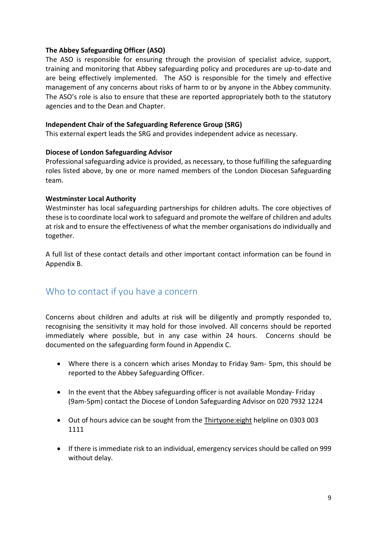### **The Abbey Safeguarding Officer (ASO)**

The ASO is responsible for ensuring through the provision of specialist advice, support, training and monitoring that Abbey safeguarding policy and procedures are up-to-date and are being effectively implemented. The ASO is responsible for the timely and effective management of any concerns about risks of harm to or by anyone in the Abbey community. The ASO's role is also to ensure that these are reported appropriately both to the statutory agencies and to the Dean and Chapter.

### **Independent Chair of the Safeguarding Reference Group (SRG)**

This external expert leads the SRG and provides independent advice as necessary.

### **Diocese of London Safeguarding Advisor**

Professional safeguarding advice is provided, as necessary, to those fulfilling the safeguarding roles listed above, by one or more named members of the London Diocesan Safeguarding team.

### **Westminster Local Authority**

Westminster has local safeguarding partnerships for children adults. The core objectives of these is to coordinate local work to safeguard and promote the welfare of children and adults at risk and to ensure the effectiveness of what the member organisations do individually and together.

A full list of these contact details and other important contact information can be found in Appendix B.

# <span id="page-8-0"></span>Who to contact if you have a concern

Concerns about children and adults at risk will be diligently and promptly responded to, recognising the sensitivity it may hold for those involved. All concerns should be reported immediately where possible, but in any case within 24 hours. Concerns should be documented on the safeguarding form found in Appendix C.

- Where there is a concern which arises Monday to Friday 9am- 5pm, this should be reported to the Abbey Safeguarding Officer.
- In the event that the Abbey safeguarding officer is not available Monday- Friday (9am-5pm) contact the Diocese of London Safeguarding Advisor on 020 7932 1224
- Out of hours advice can be sought from the Thirtyone:eight helpline on 0303 003 1111
- If there is immediate risk to an individual, emergency services should be called on 999 without delay.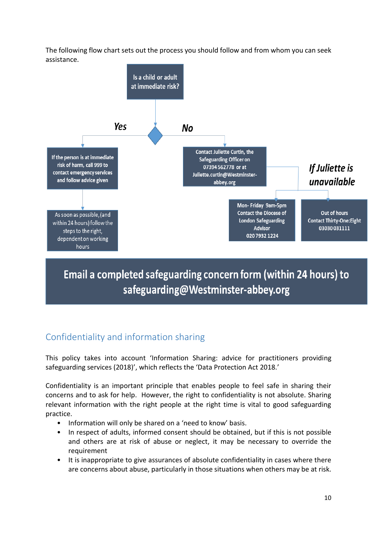The following flow chart sets out the process you should follow and from whom you can seek assistance.



Email a completed safeguarding concern form (within 24 hours) to safeguarding@Westminster-abbey.org

# <span id="page-9-0"></span>Confidentiality and information sharing

This policy takes into account 'Information Sharing: advice for practitioners providing safeguarding services (2018)', which reflects the 'Data Protection Act 2018.'

Confidentiality is an important principle that enables people to feel safe in sharing their concerns and to ask for help. However, the right to confidentiality is not absolute. Sharing relevant information with the right people at the right time is vital to good safeguarding practice.

- Information will only be shared on a 'need to know' basis.
- In respect of adults, informed consent should be obtained, but if this is not possible and others are at risk of abuse or neglect, it may be necessary to override the requirement
- It is inappropriate to give assurances of absolute confidentiality in cases where there are concerns about abuse, particularly in those situations when others may be at risk.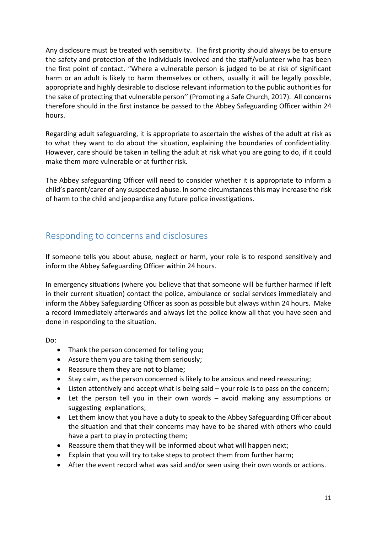Any disclosure must be treated with sensitivity. The first priority should always be to ensure the safety and protection of the individuals involved and the staff/volunteer who has been the first point of contact. "Where a vulnerable person is judged to be at risk of significant harm or an adult is likely to harm themselves or others, usually it will be legally possible, appropriate and highly desirable to disclose relevant information to the public authorities for the sake of protecting that vulnerable person'' (Promoting a Safe Church, 2017). All concerns therefore should in the first instance be passed to the Abbey Safeguarding Officer within 24 hours.

Regarding adult safeguarding, it is appropriate to ascertain the wishes of the adult at risk as to what they want to do about the situation, explaining the boundaries of confidentiality. However, care should be taken in telling the adult at risk what you are going to do, if it could make them more vulnerable or at further risk.

The Abbey safeguarding Officer will need to consider whether it is appropriate to inform a child's parent/carer of any suspected abuse. In some circumstances this may increase the risk of harm to the child and jeopardise any future police investigations.

# <span id="page-10-0"></span>Responding to concerns and disclosures

If someone tells you about abuse, neglect or harm, your role is to respond sensitively and inform the Abbey Safeguarding Officer within 24 hours.

In emergency situations (where you believe that that someone will be further harmed if left in their current situation) contact the police, ambulance or social services immediately and inform the Abbey Safeguarding Officer as soon as possible but always within 24 hours. Make a record immediately afterwards and always let the police know all that you have seen and done in responding to the situation.

Do:

- Thank the person concerned for telling you;
- Assure them you are taking them seriously;
- Reassure them they are not to blame;
- Stay calm, as the person concerned is likely to be anxious and need reassuring;
- Listen attentively and accept what is being said your role is to pass on the concern;
- Let the person tell you in their own words avoid making any assumptions or suggesting explanations;
- Let them know that you have a duty to speak to the Abbey Safeguarding Officer about the situation and that their concerns may have to be shared with others who could have a part to play in protecting them;
- Reassure them that they will be informed about what will happen next;
- Explain that you will try to take steps to protect them from further harm;
- After the event record what was said and/or seen using their own words or actions.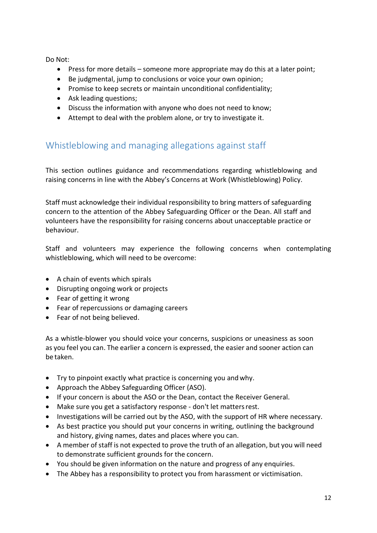Do Not:

- Press for more details someone more appropriate may do this at a later point;
- Be judgmental, jump to conclusions or voice your own opinion;
- Promise to keep secrets or maintain unconditional confidentiality;
- Ask leading questions;
- Discuss the information with anyone who does not need to know;
- Attempt to deal with the problem alone, or try to investigate it.

# <span id="page-11-0"></span>Whistleblowing and managing allegations against staff

This section outlines guidance and recommendations regarding whistleblowing and raising concerns in line with the Abbey's Concerns at Work (Whistleblowing) Policy.

Staff must acknowledge their individual responsibility to bring matters of safeguarding concern to the attention of the Abbey Safeguarding Officer or the Dean. All staff and volunteers have the responsibility for raising concerns about unacceptable practice or behaviour.

Staff and volunteers may experience the following concerns when contemplating whistleblowing, which will need to be overcome:

- A chain of events which spirals
- Disrupting ongoing work or projects
- Fear of getting it wrong
- Fear of repercussions or damaging careers
- Fear of not being believed.

As a whistle-blower you should voice your concerns, suspicions or uneasiness as soon as you feel you can. The earlier a concern is expressed, the easier and sooner action can be taken.

- Try to pinpoint exactly what practice is concerning you andwhy.
- Approach the Abbey Safeguarding Officer (ASO).
- If your concern is about the ASO or the Dean, contact the Receiver General.
- Make sure you get a satisfactory response don't let mattersrest.
- Investigations will be carried out by the ASO, with the support of HR where necessary.
- As best practice you should put your concerns in writing, outlining the background and history, giving names, dates and places where you can.
- A member of staff is not expected to prove the truth of an allegation, but you will need to demonstrate sufficient grounds for the concern.
- You should be given information on the nature and progress of any enquiries.
- The Abbey has a responsibility to protect you from harassment or victimisation.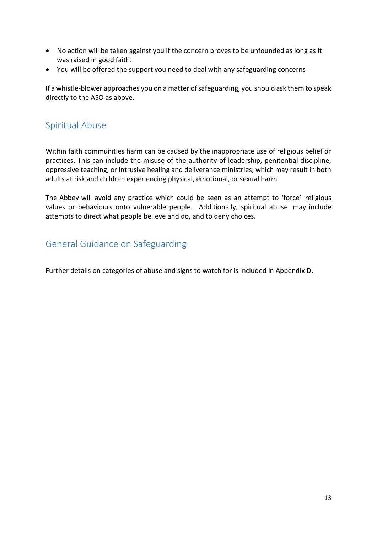- No action will be taken against you if the concern proves to be unfounded as long as it was raised in good faith.
- You will be offered the support you need to deal with any safeguarding concerns

If a whistle-blower approaches you on a matter of safeguarding, you should ask them to speak directly to the ASO as above.

# <span id="page-12-0"></span>Spiritual Abuse

Within faith communities harm can be caused by the inappropriate use of religious belief or practices. This can include the misuse of the authority of leadership, penitential discipline, oppressive teaching, or intrusive healing and deliverance ministries, which may result in both adults at risk and children experiencing physical, emotional, or sexual harm.

The Abbey will avoid any practice which could be seen as an attempt to 'force' religious values or behaviours onto vulnerable people. Additionally, spiritual abuse may include attempts to direct what people believe and do, and to deny choices.

# <span id="page-12-1"></span>General Guidance on Safeguarding

Further details on categories of abuse and signs to watch for is included in Appendix D.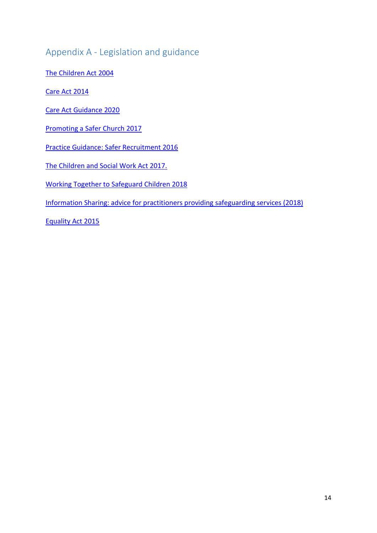# <span id="page-13-0"></span>Appendix A - Legislation and guidance

[The Children Act 2004](http://www.legislation.gov.uk/ukpga/2004/31/contents)

[Care Act 2014](http://www.legislation.gov.uk/ukpga/2014/23/contents/enacted)

Care Act [Guidance 2020](https://www.gov.uk/government/publications/care-act-statutory-guidance/care-and-support-statutory-guidance)

[Promoting a Safer Church 2017](https://www.churchofengland.org/sites/default/files/2017-11/cofe-policy-statement.pdf)

[Practice Guidance: Safer Recruitment 2016](https://www.churchofengland.org/sites/default/files/2017-11/safeguarding%20safer_recruitment_practice_guidance_2016.pdf)

[The Children and Social Work Act 2017.](http://www.legislation.gov.uk/ukpga/2017/16/contents/enacted)

[Working Together to Safeguard Children 2018](https://assets.publishing.service.gov.uk/government/uploads/system/uploads/attachment_data/file/779401/Working_Together_to_Safeguard-Children.pdf)

[Information Sharing: advice for practitioners providing safeguarding services \(2018\)](https://assets.publishing.service.gov.uk/government/uploads/system/uploads/attachment_data/file/721581/Information_sharing_advice_practitioners_safeguarding_services.pdf)

[Equality Act 2015](http://www.legislation.gov.uk/ukpga/2010/15/contents)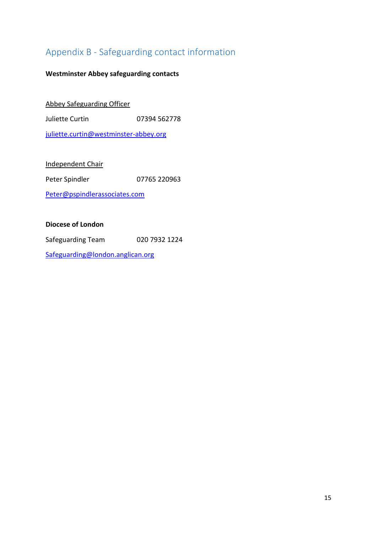# <span id="page-14-0"></span>Appendix B - Safeguarding contact information

# **Westminster Abbey safeguarding contacts**

Abbey Safeguarding Officer

Juliette Curtin 07394 562778

[juliette.curtin@westminster-abbey.org](mailto:juliette.curtin@westminster-abbey.org)

Independent Chair

Peter Spindler **07765 220963** 

[Peter@pspindlerassociates.com](file:///C:/Users/paul.baumann/AppData/Local/Microsoft/Windows/INetCache/Content.Outlook/UHQJMM6E/Peter@pspindlerassociates.com)

### **Diocese of London**

Safeguarding Team 020 7932 1224

[Safeguarding@london.anglican.org](mailto:Safeguarding@london.anglican.org)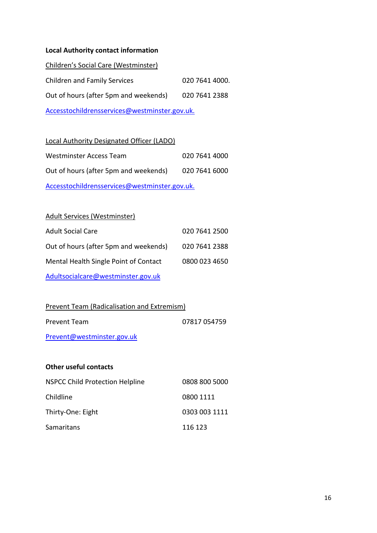### **Local Authority contact information**

| Children's Social Care (Westminster)          |                |  |
|-----------------------------------------------|----------------|--|
| <b>Children and Family Services</b>           | 020 7641 4000. |  |
| Out of hours (after 5pm and weekends)         | 020 7641 2388  |  |
| Accesstochildrensservices@westminster.gov.uk. |                |  |

#### Local Authority Designated Officer (LADO)

| Westminster Access Team                       | 020 7641 4000 |  |  |
|-----------------------------------------------|---------------|--|--|
| Out of hours (after 5pm and weekends)         | 020 7641 6000 |  |  |
| Accesstochildrensservices@westminster.gov.uk. |               |  |  |

# Adult Services (Westminster)

| <b>Adult Social Care</b>              | 020 7641 2500 |
|---------------------------------------|---------------|
| Out of hours (after 5pm and weekends) | 020 7641 2388 |
| Mental Health Single Point of Contact | 0800 023 4650 |
| Adultsocialcare@westminster.gov.uk    |               |

# Prevent Team (Radicalisation and Extremism)

| Prevent Team | 07817 054759 |
|--------------|--------------|
|              |              |

[Prevent@westminster.gov.uk](mailto:Prevent@westminster.gov.uk)

### **Other useful contacts**

| <b>NSPCC Child Protection Helpline</b> | 0808 800 5000 |
|----------------------------------------|---------------|
| Childline                              | 0800 1111     |
| Thirty-One: Eight                      | 0303 003 1111 |
| Samaritans                             | 116 123       |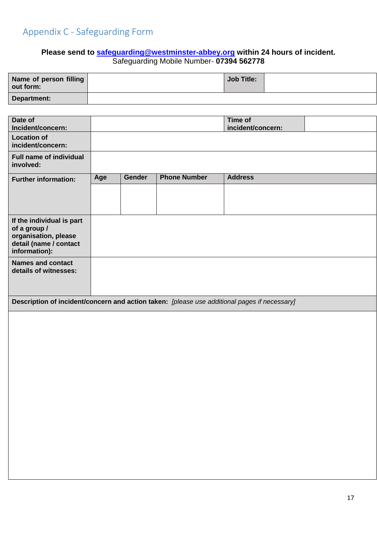# <span id="page-16-0"></span>**Please send to [safeguarding@westminster-abbey.org](mailto:safeguarding@westminster-abbey.org) within 24 hours of incident.**  Safeguarding Mobile Number- **07394 562778**

| Name of person filling<br>out form: | <b>Job Title:</b> |  |
|-------------------------------------|-------------------|--|
| Department:                         |                   |  |

| Date of<br>Incident/concern:                                                                 |     |               |                     | Time of<br>incident/concern: |  |
|----------------------------------------------------------------------------------------------|-----|---------------|---------------------|------------------------------|--|
| <b>Location of</b>                                                                           |     |               |                     |                              |  |
| incident/concern:                                                                            |     |               |                     |                              |  |
| <b>Full name of individual</b><br>involved:                                                  |     |               |                     |                              |  |
| <b>Further information:</b>                                                                  | Age | <b>Gender</b> | <b>Phone Number</b> | <b>Address</b>               |  |
|                                                                                              |     |               |                     |                              |  |
|                                                                                              |     |               |                     |                              |  |
| If the individual is part                                                                    |     |               |                     |                              |  |
| of a group /                                                                                 |     |               |                     |                              |  |
| organisation, please<br>detail (name / contact                                               |     |               |                     |                              |  |
| information):                                                                                |     |               |                     |                              |  |
| <b>Names and contact</b><br>details of witnesses:                                            |     |               |                     |                              |  |
|                                                                                              |     |               |                     |                              |  |
|                                                                                              |     |               |                     |                              |  |
| Description of incident/concern and action taken: [please use additional pages if necessary] |     |               |                     |                              |  |
|                                                                                              |     |               |                     |                              |  |
|                                                                                              |     |               |                     |                              |  |
|                                                                                              |     |               |                     |                              |  |
|                                                                                              |     |               |                     |                              |  |
|                                                                                              |     |               |                     |                              |  |
|                                                                                              |     |               |                     |                              |  |
|                                                                                              |     |               |                     |                              |  |
|                                                                                              |     |               |                     |                              |  |
|                                                                                              |     |               |                     |                              |  |
|                                                                                              |     |               |                     |                              |  |
|                                                                                              |     |               |                     |                              |  |
|                                                                                              |     |               |                     |                              |  |
|                                                                                              |     |               |                     |                              |  |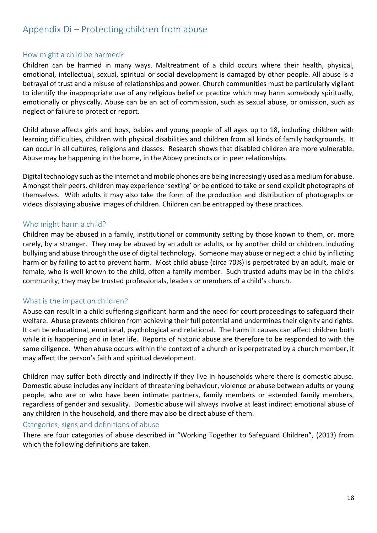# <span id="page-17-0"></span>Appendix Di – Protecting children from abuse

# <span id="page-17-1"></span>How might a child be harmed?

Children can be harmed in many ways. Maltreatment of a child occurs where their health, physical, emotional, intellectual, sexual, spiritual or social development is damaged by other people. All abuse is a betrayal of trust and a misuse of relationships and power. Church communities must be particularly vigilant to identify the inappropriate use of any religious belief or practice which may harm somebody spiritually, emotionally or physically. Abuse can be an act of commission, such as sexual abuse, or omission, such as neglect or failure to protect or report.

Child abuse affects girls and boys, babies and young people of all ages up to 18, including children with learning difficulties, children with physical disabilities and children from all kinds of family backgrounds. It can occur in all cultures, religions and classes. Research shows that disabled children are more vulnerable. Abuse may be happening in the home, in the Abbey precincts or in peer relationships.

Digital technology such as the internet and mobile phones are being increasingly used as a medium for abuse. Amongst their peers, children may experience 'sexting' or be enticed to take or send explicit photographs of themselves. With adults it may also take the form of the production and distribution of photographs or videos displaying abusive images of children. Children can be entrapped by these practices.

# <span id="page-17-2"></span>Who might harm a child?

Children may be abused in a family, institutional or community setting by those known to them, or, more rarely, by a stranger. They may be abused by an adult or adults, or by another child or children, including bullying and abuse through the use of digital technology. Someone may abuse or neglect a child by inflicting harm or by failing to act to prevent harm. Most child abuse (circa 70%) is perpetrated by an adult, male or female, who is well known to the child, often a family member. Such trusted adults may be in the child's community; they may be trusted professionals, leaders or members of a child's church.

# <span id="page-17-3"></span>What is the impact on children?

Abuse can result in a child suffering significant harm and the need for court proceedings to safeguard their welfare. Abuse prevents children from achieving their full potential and undermines their dignity and rights. It can be educational, emotional, psychological and relational. The harm it causes can affect children both while it is happening and in later life. Reports of historic abuse are therefore to be responded to with the same diligence. When abuse occurs within the context of a church or is perpetrated by a church member, it may affect the person's faith and spiritual development.

Children may suffer both directly and indirectly if they live in households where there is domestic abuse. Domestic abuse includes any incident of threatening behaviour, violence or abuse between adults or young people, who are or who have been intimate partners, family members or extended family members, regardless of gender and sexuality. Domestic abuse will always involve at least indirect emotional abuse of any children in the household, and there may also be direct abuse of them.

# <span id="page-17-4"></span>Categories, signs and definitions of abuse

There are four categories of abuse described in "Working Together to Safeguard Children", (2013) from which the following definitions are taken.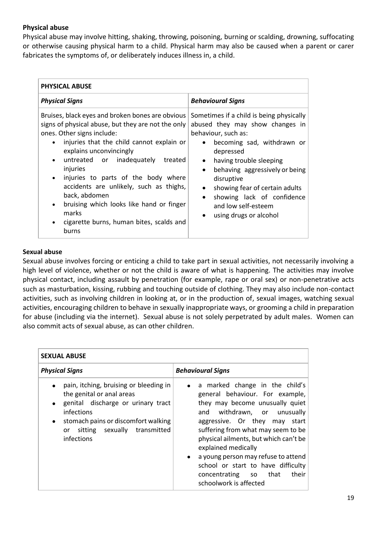# **Physical abuse**

Physical abuse may involve hitting, shaking, throwing, poisoning, burning or scalding, drowning, suffocating or otherwise causing physical harm to a child. Physical harm may also be caused when a parent or carer fabricates the symptoms of, or deliberately induces illness in, a child.

| <b>PHYSICAL ABUSE</b>                                                                                                                                                                                                                                                                                                                                                                                                                                                                                   |                                                                                                                                                                                                                                                                                                                                                                                                                         |  |  |
|---------------------------------------------------------------------------------------------------------------------------------------------------------------------------------------------------------------------------------------------------------------------------------------------------------------------------------------------------------------------------------------------------------------------------------------------------------------------------------------------------------|-------------------------------------------------------------------------------------------------------------------------------------------------------------------------------------------------------------------------------------------------------------------------------------------------------------------------------------------------------------------------------------------------------------------------|--|--|
| <b>Physical Signs</b>                                                                                                                                                                                                                                                                                                                                                                                                                                                                                   | <b>Behavioural Signs</b>                                                                                                                                                                                                                                                                                                                                                                                                |  |  |
| Bruises, black eyes and broken bones are obvious<br>signs of physical abuse, but they are not the only<br>ones. Other signs include:<br>injuries that the child cannot explain or<br>explains unconvincingly<br>untreated or inadequately<br>treated<br>$\bullet$<br>injuries<br>injuries to parts of the body where<br>$\bullet$<br>accidents are unlikely, such as thighs,<br>back, abdomen<br>bruising which looks like hand or finger<br>marks<br>cigarette burns, human bites, scalds and<br>burns | Sometimes if a child is being physically<br>abused they may show changes in<br>behaviour, such as:<br>becoming sad, withdrawn or<br>$\bullet$<br>depressed<br>having trouble sleeping<br>$\bullet$<br>behaving aggressively or being<br>$\bullet$<br>disruptive<br>showing fear of certain adults<br>$\bullet$<br>showing lack of confidence<br>$\bullet$<br>and low self-esteem<br>using drugs or alcohol<br>$\bullet$ |  |  |

### **Sexual abuse**

Sexual abuse involves forcing or enticing a child to take part in sexual activities, not necessarily involving a high level of violence, whether or not the child is aware of what is happening. The activities may involve physical contact, including assault by penetration (for example, rape or oral sex) or non-penetrative acts such as masturbation, kissing, rubbing and touching outside of clothing. They may also include non-contact activities, such as involving children in looking at, or in the production of, sexual images, watching sexual activities, encouraging children to behave in sexually inappropriate ways, or grooming a child in preparation for abuse (including via the internet). Sexual abuse is not solely perpetrated by adult males. Women can also commit acts of sexual abuse, as can other children.

| <b>SEXUAL ABUSE</b>                                                                                                                                                                                                                          |                                                                                                                                                                                                                                                                                                                                                                                                                                          |  |  |
|----------------------------------------------------------------------------------------------------------------------------------------------------------------------------------------------------------------------------------------------|------------------------------------------------------------------------------------------------------------------------------------------------------------------------------------------------------------------------------------------------------------------------------------------------------------------------------------------------------------------------------------------------------------------------------------------|--|--|
| <b>Physical Signs</b>                                                                                                                                                                                                                        | <b>Behavioural Signs</b>                                                                                                                                                                                                                                                                                                                                                                                                                 |  |  |
| pain, itching, bruising or bleeding in<br>the genital or anal areas<br>genital discharge or urinary tract<br>$\bullet$<br>infections<br>stomach pains or discomfort walking<br>$\bullet$<br>sitting sexually transmitted<br>or<br>infections | • a marked change in the child's<br>general behaviour. For example,<br>they may become unusually quiet<br>withdrawn, or unusually<br>and<br>aggressive. Or they may start<br>suffering from what may seem to be<br>physical ailments, but which can't be<br>explained medically<br>a young person may refuse to attend<br>$\bullet$<br>school or start to have difficulty<br>that<br>their<br>concentrating so<br>schoolwork is affected |  |  |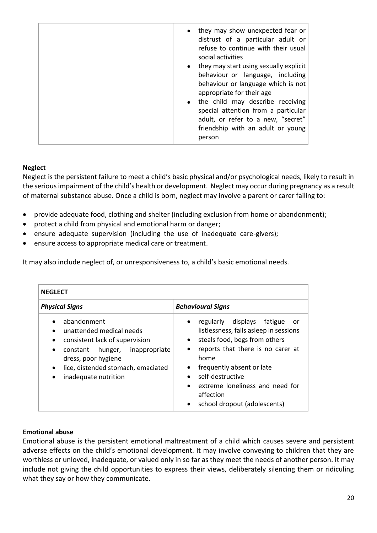| they may show unexpected fear or<br>$\bullet$<br>distrust of a particular adult or<br>refuse to continue with their usual<br>social activities                                                                                                                                                                               |
|------------------------------------------------------------------------------------------------------------------------------------------------------------------------------------------------------------------------------------------------------------------------------------------------------------------------------|
| they may start using sexually explicit<br>$\bullet$<br>behaviour or language, including<br>behaviour or language which is not<br>appropriate for their age<br>• the child may describe receiving<br>special attention from a particular<br>adult, or refer to a new, "secret"<br>friendship with an adult or young<br>person |

# **Neglect**

Neglect is the persistent failure to meet a child's basic physical and/or psychological needs, likely to result in the serious impairment of the child's health or development. Neglect may occur during pregnancy as a result of maternal substance abuse. Once a child is born, neglect may involve a parent or carer failing to:

- provide adequate food, clothing and shelter (including exclusion from home or abandonment);
- protect a child from physical and emotional harm or danger;
- ensure adequate supervision (including the use of inadequate care-givers);
- ensure access to appropriate medical care or treatment.

It may also include neglect of, or unresponsiveness to, a child's basic emotional needs.

| <b>NEGLECT</b>                                                                                                                                                                                                                             |                                                                                                                                                                                                                                                                                                                                                                               |
|--------------------------------------------------------------------------------------------------------------------------------------------------------------------------------------------------------------------------------------------|-------------------------------------------------------------------------------------------------------------------------------------------------------------------------------------------------------------------------------------------------------------------------------------------------------------------------------------------------------------------------------|
| <b>Physical Signs</b>                                                                                                                                                                                                                      | <b>Behavioural Signs</b>                                                                                                                                                                                                                                                                                                                                                      |
| abandonment<br>unattended medical needs<br>consistent lack of supervision<br>$\bullet$<br>hunger, inappropriate<br>constant<br>$\bullet$<br>dress, poor hygiene<br>lice, distended stomach, emaciated<br>$\bullet$<br>inadequate nutrition | displays<br>regularly<br>fatigue<br>or<br>$\bullet$<br>listlessness, falls asleep in sessions<br>steals food, begs from others<br>$\bullet$<br>reports that there is no carer at<br>$\bullet$<br>home<br>frequently absent or late<br>$\bullet$<br>self-destructive<br>extreme loneliness and need for<br>$\bullet$<br>affection<br>school dropout (adolescents)<br>$\bullet$ |

# **Emotional abuse**

Emotional abuse is the persistent emotional maltreatment of a child which causes severe and persistent adverse effects on the child's emotional development. It may involve conveying to children that they are worthless or unloved, inadequate, or valued only in so far as they meet the needs of another person. It may include not giving the child opportunities to express their views, deliberately silencing them or ridiculing what they say or how they communicate.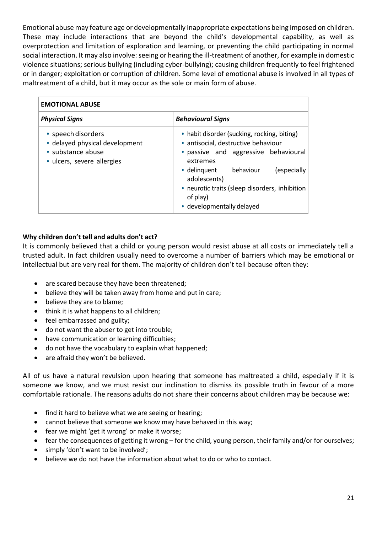Emotional abuse may feature age or developmentally inappropriate expectations being imposed on children. These may include interactions that are beyond the child's developmental capability, as well as overprotection and limitation of exploration and learning, or preventing the child participating in normal social interaction. It may also involve: seeing or hearing the ill-treatment of another, for example in domestic violence situations; serious bullying (including cyber-bullying); causing children frequently to feel frightened or in danger; exploitation or corruption of children. Some level of emotional abuse is involved in all types of maltreatment of a child, but it may occur as the sole or main form of abuse.

| <b>EMOTIONAL ABUSE</b>                                                                                  |                                                                                                                                                                                                                                                                                               |
|---------------------------------------------------------------------------------------------------------|-----------------------------------------------------------------------------------------------------------------------------------------------------------------------------------------------------------------------------------------------------------------------------------------------|
| <b>Physical Signs</b>                                                                                   | <b>Behavioural Signs</b>                                                                                                                                                                                                                                                                      |
| • speech disorders<br>· delayed physical development<br>• substance abuse<br>· ulcers, severe allergies | • habit disorder (sucking, rocking, biting)<br>· antisocial, destructive behaviour<br>· passive and aggressive behavioural<br>extremes<br>behaviour<br>• delinquent<br>(especially<br>adolescents)<br>• neurotic traits (sleep disorders, inhibition<br>of play)<br>• developmentally delayed |

# **Why children don't tell and adults don't act?**

It is commonly believed that a child or young person would resist abuse at all costs or immediately tell a trusted adult. In fact children usually need to overcome a number of barriers which may be emotional or intellectual but are very real for them. The majority of children don't tell because often they:

- are scared because they have been threatened;
- believe they will be taken away from home and put in care;
- believe they are to blame;
- think it is what happens to all children;
- feel embarrassed and guilty;
- do not want the abuser to get into trouble;
- have communication or learning difficulties;
- do not have the vocabulary to explain what happened;
- are afraid they won't be believed.

All of us have a natural revulsion upon hearing that someone has maltreated a child, especially if it is someone we know, and we must resist our inclination to dismiss its possible truth in favour of a more comfortable rationale. The reasons adults do not share their concerns about children may be because we:

- find it hard to believe what we are seeing or hearing;
- cannot believe that someone we know may have behaved in this way;
- fear we might 'get it wrong' or make it worse;
- fear the consequences of getting it wrong for the child, young person, their family and/or for ourselves;
- simply 'don't want to be involved';
- believe we do not have the information about what to do or who to contact.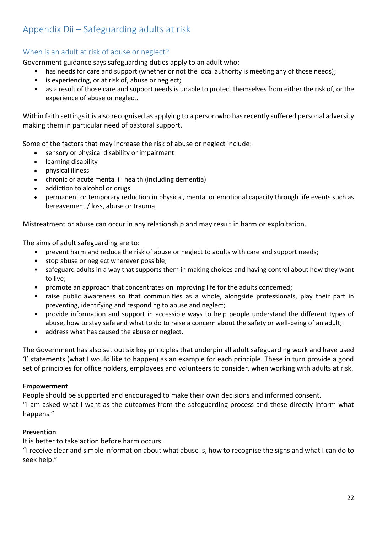# <span id="page-21-0"></span>Appendix Dii – Safeguarding adults at risk

# <span id="page-21-1"></span>When is an adult at risk of abuse or neglect?

Government guidance says safeguarding duties apply to an adult who:

- has needs for care and support (whether or not the local authority is meeting any of those needs);
- is experiencing, or at risk of, abuse or neglect;
- as a result of those care and support needs is unable to protect themselves from either the risk of, or the experience of abuse or neglect.

Within faith settings it is also recognised as applying to a person who has recently suffered personal adversity making them in particular need of pastoral support.

Some of the factors that may increase the risk of abuse or neglect include:

- sensory or physical disability or impairment
- learning disability
- physical illness
- chronic or acute mental ill health (including dementia)
- addiction to alcohol or drugs
- permanent or temporary reduction in physical, mental or emotional capacity through life events such as bereavement / loss, abuse or trauma.

Mistreatment or abuse can occur in any relationship and may result in harm or exploitation.

The aims of adult safeguarding are to:

- prevent harm and reduce the risk of abuse or neglect to adults with care and support needs;
- stop abuse or neglect wherever possible;
- safeguard adults in a way that supports them in making choices and having control about how they want to live;
- promote an approach that concentrates on improving life for the adults concerned;
- raise public awareness so that communities as a whole, alongside professionals, play their part in preventing, identifying and responding to abuse and neglect;
- provide information and support in accessible ways to help people understand the different types of abuse, how to stay safe and what to do to raise a concern about the safety or well-being of an adult;
- address what has caused the abuse or neglect.

The Government has also set out six key principles that underpin all adult safeguarding work and have used 'I' statements (what I would like to happen) as an example for each principle. These in turn provide a good set of principles for office holders, employees and volunteers to consider, when working with adults at risk.

# **Empowerment**

People should be supported and encouraged to make their own decisions and informed consent. "I am asked what I want as the outcomes from the safeguarding process and these directly inform what happens."

# **Prevention**

It is better to take action before harm occurs.

"I receive clear and simple information about what abuse is, how to recognise the signs and what I can do to seek help."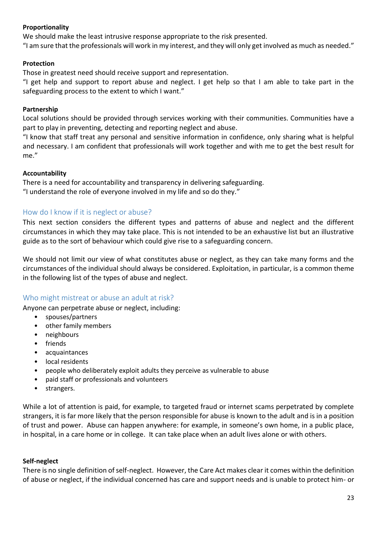# **Proportionality**

We should make the least intrusive response appropriate to the risk presented.

"I am sure that the professionals will work in my interest, and they will only get involved as much as needed."

### **Protection**

Those in greatest need should receive support and representation.

"I get help and support to report abuse and neglect. I get help so that I am able to take part in the safeguarding process to the extent to which I want."

### **Partnership**

Local solutions should be provided through services working with their communities. Communities have a part to play in preventing, detecting and reporting neglect and abuse.

"I know that staff treat any personal and sensitive information in confidence, only sharing what is helpful and necessary. I am confident that professionals will work together and with me to get the best result for me."

### **Accountability**

There is a need for accountability and transparency in delivering safeguarding. "I understand the role of everyone involved in my life and so do they."

# <span id="page-22-0"></span>How do I know if it is neglect or abuse?

This next section considers the different types and patterns of abuse and neglect and the different circumstances in which they may take place. This is not intended to be an exhaustive list but an illustrative guide as to the sort of behaviour which could give rise to a safeguarding concern.

We should not limit our view of what constitutes abuse or neglect, as they can take many forms and the circumstances of the individual should always be considered. Exploitation, in particular, is a common theme in the following list of the types of abuse and neglect.

# <span id="page-22-1"></span>Who might mistreat or abuse an adult at risk?

Anyone can perpetrate abuse or neglect, including:

- spouses/partners
- other family members
- neighbours
- friends
- acquaintances
- local residents
- people who deliberately exploit adults they perceive as vulnerable to abuse
- paid staff or professionals and volunteers
- strangers.

While a lot of attention is paid, for example, to targeted fraud or internet scams perpetrated by complete strangers, it is far more likely that the person responsible for abuse is known to the adult and is in a position of trust and power. Abuse can happen anywhere: for example, in someone's own home, in a public place, in hospital, in a care home or in college. It can take place when an adult lives alone or with others.

# **Self-neglect**

There is no single definition of self-neglect. However, the Care Act makes clear it comes within the definition of abuse or neglect, if the individual concerned has care and support needs and is unable to protect him- or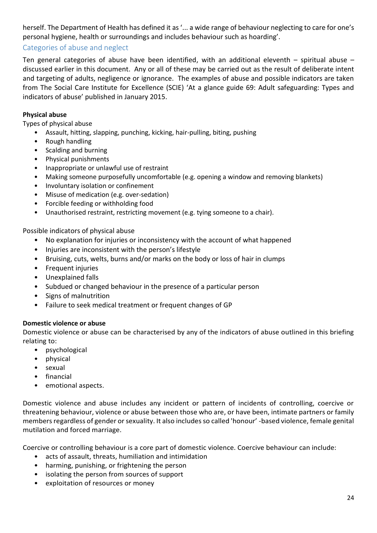herself. The Department of Health has defined it as '... a wide range of behaviour neglecting to care for one's personal hygiene, health or surroundings and includes behaviour such as hoarding'.

# <span id="page-23-0"></span>Categories of abuse and neglect

Ten general categories of abuse have been identified, with an additional eleventh – spiritual abuse – discussed earlier in this document. Any or all of these may be carried out as the result of deliberate intent and targeting of adults, negligence or ignorance. The examples of abuse and possible indicators are taken from The Social Care Institute for Excellence (SCIE) 'At a glance guide 69: Adult safeguarding: Types and indicators of abuse' published in January 2015.

### **Physical abuse**

Types of physical abuse

- Assault, hitting, slapping, punching, kicking, hair-pulling, biting, pushing
- Rough handling
- Scalding and burning
- Physical punishments
- Inappropriate or unlawful use of restraint
- Making someone purposefully uncomfortable (e.g. opening a window and removing blankets)
- Involuntary isolation or confinement
- Misuse of medication (e.g. over-sedation)
- Forcible feeding or withholding food
- Unauthorised restraint, restricting movement (e.g. tying someone to a chair).

Possible indicators of physical abuse

- No explanation for injuries or inconsistency with the account of what happened
- Injuries are inconsistent with the person's lifestyle
- Bruising, cuts, welts, burns and/or marks on the body or loss of hair in clumps
- Frequent injuries
- Unexplained falls
- Subdued or changed behaviour in the presence of a particular person
- Signs of malnutrition
- Failure to seek medical treatment or frequent changes of GP

#### **Domestic violence or abuse**

Domestic violence or abuse can be characterised by any of the indicators of abuse outlined in this briefing relating to:

- psychological
- physical
- sexual
- financial
- emotional aspects.

Domestic violence and abuse includes any incident or pattern of incidents of controlling, coercive or threatening behaviour, violence or abuse between those who are, or have been, intimate partners or family members regardless of gender or sexuality. It also includes so called 'honour' -based violence, female genital mutilation and forced marriage.

Coercive or controlling behaviour is a core part of domestic violence. Coercive behaviour can include:

- acts of assault, threats, humiliation and intimidation
- harming, punishing, or frightening the person
- isolating the person from sources of support
- exploitation of resources or money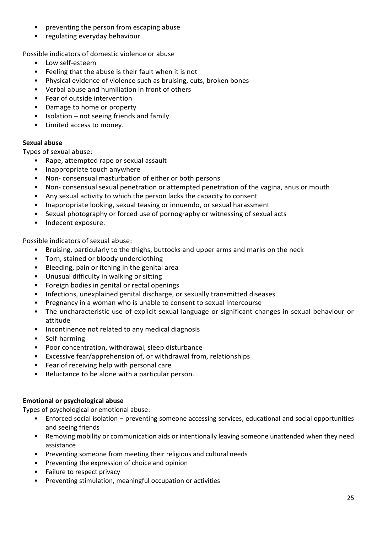- preventing the person from escaping abuse
- regulating everyday behaviour.

Possible indicators of domestic violence or abuse

- Low self-esteem
- Feeling that the abuse is their fault when it is not
- Physical evidence of violence such as bruising, cuts, broken bones
- Verbal abuse and humiliation in front of others
- Fear of outside intervention
- Damage to home or property
- Isolation not seeing friends and family
- Limited access to money.

### **Sexual abuse**

Types of sexual abuse:

- Rape, attempted rape or sexual assault
- Inappropriate touch anywhere
- Non- consensual masturbation of either or both persons
- Non- consensual sexual penetration or attempted penetration of the vagina, anus or mouth
- Any sexual activity to which the person lacks the capacity to consent
- Inappropriate looking, sexual teasing or innuendo, or sexual harassment
- Sexual photography or forced use of pornography or witnessing of sexual acts
- Indecent exposure.

Possible indicators of sexual abuse:

- Bruising, particularly to the thighs, buttocks and upper arms and marks on the neck
- Torn, stained or bloody underclothing
- Bleeding, pain or itching in the genital area
- Unusual difficulty in walking or sitting
- Foreign bodies in genital or rectal openings
- Infections, unexplained genital discharge, or sexually transmitted diseases
- Pregnancy in a woman who is unable to consent to sexual intercourse
- The uncharacteristic use of explicit sexual language or significant changes in sexual behaviour or attitude
- Incontinence not related to any medical diagnosis
- Self-harming
- Poor concentration, withdrawal, sleep disturbance
- Excessive fear/apprehension of, or withdrawal from, relationships
- Fear of receiving help with personal care
- Reluctance to be alone with a particular person.

# **Emotional or psychological abuse**

Types of psychological or emotional abuse:

- Enforced social isolation preventing someone accessing services, educational and social opportunities and seeing friends
- Removing mobility or communication aids or intentionally leaving someone unattended when they need assistance
- Preventing someone from meeting their religious and cultural needs
- Preventing the expression of choice and opinion
- Failure to respect privacy
- Preventing stimulation, meaningful occupation or activities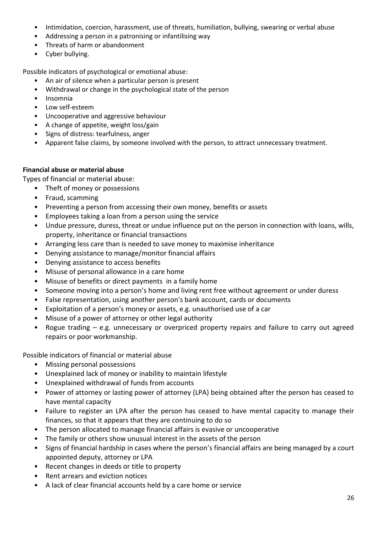- Intimidation, coercion, harassment, use of threats, humiliation, bullying, swearing or verbal abuse
- Addressing a person in a patronising or infantilising way
- Threats of harm or abandonment
- Cyber bullying.

Possible indicators of psychological or emotional abuse:

- An air of silence when a particular person is present
- Withdrawal or change in the psychological state of the person
- Insomnia
- Low self-esteem
- Uncooperative and aggressive behaviour
- A change of appetite, weight loss/gain
- Signs of distress: tearfulness, anger
- Apparent false claims, by someone involved with the person, to attract unnecessary treatment.

#### **Financial abuse or material abuse**

Types of financial or material abuse:

- Theft of money or possessions
- Fraud, scamming
- Preventing a person from accessing their own money, benefits or assets
- Employees taking a loan from a person using the service
- Undue pressure, duress, threat or undue influence put on the person in connection with loans, wills, property, inheritance or financial transactions
- Arranging less care than is needed to save money to maximise inheritance
- Denying assistance to manage/monitor financial affairs
- Denying assistance to access benefits
- Misuse of personal allowance in a care home
- Misuse of benefits or direct payments in a family home
- Someone moving into a person's home and living rent free without agreement or under duress
- False representation, using another person's bank account, cards or documents
- Exploitation of a person's money or assets, e.g. unauthorised use of a car
- Misuse of a power of attorney or other legal authority
- Rogue trading e.g. unnecessary or overpriced property repairs and failure to carry out agreed repairs or poor workmanship.

Possible indicators of financial or material abuse

- Missing personal possessions
- Unexplained lack of money or inability to maintain lifestyle
- Unexplained withdrawal of funds from accounts
- Power of attorney or lasting power of attorney (LPA) being obtained after the person has ceased to have mental capacity
- Failure to register an LPA after the person has ceased to have mental capacity to manage their finances, so that it appears that they are continuing to do so
- The person allocated to manage financial affairs is evasive or uncooperative
- The family or others show unusual interest in the assets of the person
- Signs of financial hardship in cases where the person's financial affairs are being managed by a court appointed deputy, attorney or LPA
- Recent changes in deeds or title to property
- Rent arrears and eviction notices
- A lack of clear financial accounts held by a care home or service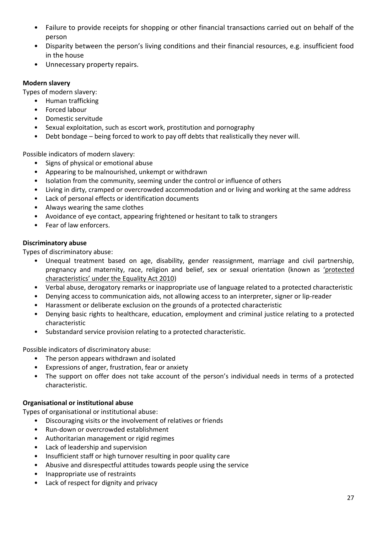- Failure to provide receipts for shopping or other financial transactions carried out on behalf of the person
- Disparity between the person's living conditions and their financial resources, e.g. insufficient food in the house
- Unnecessary property repairs.

# **Modern slavery**

Types of modern slavery:

- Human trafficking
- Forced labour
- Domestic servitude
- Sexual exploitation, such as escort work, prostitution and pornography
- Debt bondage being forced to work to pay off debts that realistically they never will.

Possible indicators of modern slavery:

- Signs of physical or emotional abuse
- Appearing to be malnourished, unkempt or withdrawn
- Isolation from the community, seeming under the control or influence of others
- Living in dirty, cramped or overcrowded accommodation and or living and working at the same address
- Lack of personal effects or identification documents
- Always wearing the same clothes
- Avoidance of eye contact, appearing frightened or hesitant to talk to strangers
- Fear of law enforcers.

#### **Discriminatory abuse**

Types of discriminatory abuse:

- Unequal treatment based on age, disability, gender reassignment, marriage and civil partnership, pregnancy and maternity, race, religion and belief, sex or sexual orientation (known as ['protected](http://www.equalityhumanrights.com/advice-and-guidance/new-equality-act-guidance/protected-characteristics-definitions/)  [characteristics' under the Equality Act 2010](http://www.equalityhumanrights.com/advice-and-guidance/new-equality-act-guidance/protected-characteristics-definitions/))
- Verbal abuse, derogatory remarks or inappropriate use of language related to a protected characteristic
- Denying access to communication aids, not allowing access to an interpreter, signer or lip-reader
- Harassment or deliberate exclusion on the grounds of a protected characteristic
- Denying basic rights to healthcare, education, employment and criminal justice relating to a protected characteristic
- Substandard service provision relating to a protected characteristic.

Possible indicators of discriminatory abuse:

- The person appears withdrawn and isolated
- Expressions of anger, frustration, fear or anxiety
- The support on offer does not take account of the person's individual needs in terms of a protected characteristic.

#### **Organisational or institutional abuse**

Types of organisational or institutional abuse:

- Discouraging visits or the involvement of relatives or friends
- Run-down or overcrowded establishment
- Authoritarian management or rigid regimes
- Lack of leadership and supervision
- Insufficient staff or high turnover resulting in poor quality care
- Abusive and disrespectful attitudes towards people using the service
- Inappropriate use of restraints
- Lack of respect for dignity and privacy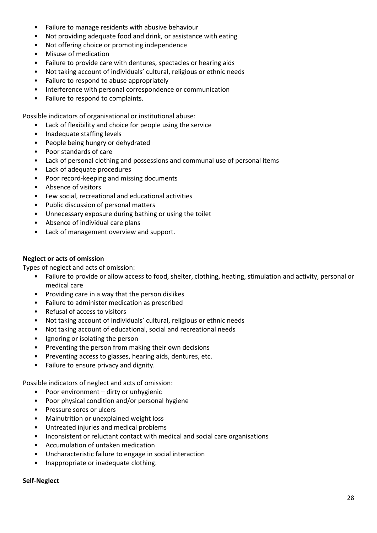- Failure to manage residents with abusive behaviour
- Not providing adequate food and drink, or assistance with eating
- Not offering choice or promoting independence
- Misuse of medication
- Failure to provide care with dentures, spectacles or hearing aids
- Not taking account of individuals' cultural, religious or ethnic needs
- Failure to respond to abuse appropriately
- Interference with personal correspondence or communication
- Failure to respond to complaints.

Possible indicators of organisational or institutional abuse:

- Lack of flexibility and choice for people using the service
- Inadequate staffing levels
- People being hungry or dehydrated
- Poor standards of care
- Lack of personal clothing and possessions and communal use of personal items
- Lack of adequate procedures
- Poor record-keeping and missing documents
- Absence of visitors
- Few social, recreational and educational activities
- Public discussion of personal matters
- Unnecessary exposure during bathing or using the toilet
- Absence of individual care plans
- Lack of management overview and support.

#### **Neglect or acts of omission**

Types of neglect and acts of omission:

- Failure to provide or allow access to food, shelter, clothing, heating, stimulation and activity, personal or medical care
- Providing care in a way that the person dislikes
- Failure to administer medication as prescribed
- Refusal of access to visitors
- Not taking account of individuals' cultural, religious or ethnic needs
- Not taking account of educational, social and recreational needs
- Ignoring or isolating the person
- Preventing the person from making their own decisions
- Preventing access to glasses, hearing aids, dentures, etc.
- Failure to ensure privacy and dignity.

Possible indicators of neglect and acts of omission:

- Poor environment dirty or unhygienic
- Poor physical condition and/or personal hygiene
- Pressure sores or ulcers
- Malnutrition or unexplained weight loss
- Untreated injuries and medical problems
- Inconsistent or reluctant contact with medical and social care organisations
- Accumulation of untaken medication
- Uncharacteristic failure to engage in social interaction
- Inappropriate or inadequate clothing.

#### **Self-Neglect**